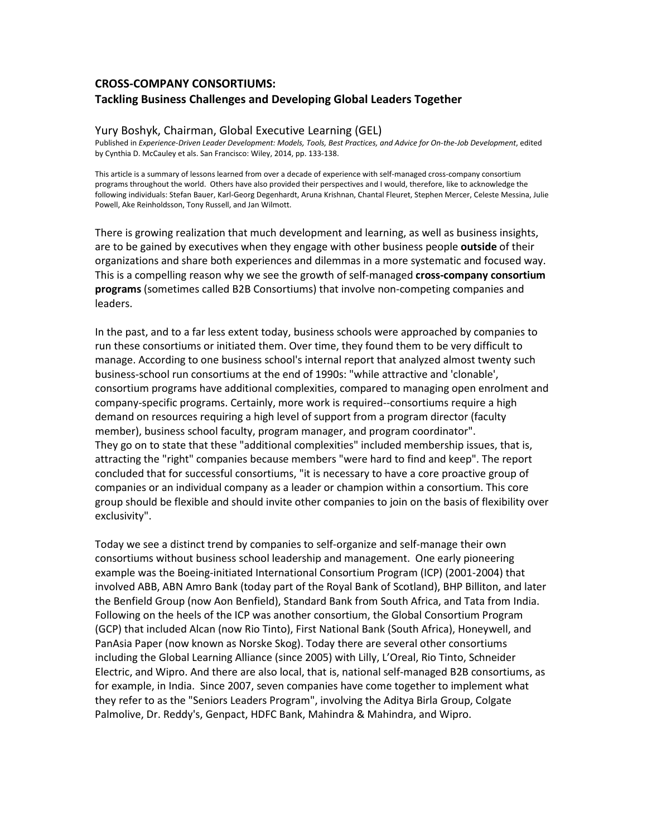# **CROSS-COMPANY CONSORTIUMS: Tackling Business Challenges and Developing Global Leaders Together**

### Yury Boshyk, Chairman, Global Executive Learning (GEL)

Published in *Experience-Driven Leader Development: Models, Tools, Best Practices, and Advice for On-the-Job Development*, edited by Cynthia D. McCauley et als. San Francisco: Wiley, 2014, pp. 133-138.

This article is a summary of lessons learned from over a decade of experience with self-managed cross-company consortium programs throughout the world. Others have also provided their perspectives and I would, therefore, like to acknowledge the following individuals: Stefan Bauer, Karl-Georg Degenhardt, Aruna Krishnan, Chantal Fleuret, Stephen Mercer, Celeste Messina, Julie Powell, Ake Reinholdsson, Tony Russell, and Jan Wilmott.

There is growing realization that much development and learning, as well as business insights, are to be gained by executives when they engage with other business people **outside** of their organizations and share both experiences and dilemmas in a more systematic and focused way. This is a compelling reason why we see the growth of self-managed **cross-company consortium programs** (sometimes called B2B Consortiums) that involve non-competing companies and leaders.

In the past, and to a far less extent today, business schools were approached by companies to run these consortiums or initiated them. Over time, they found them to be very difficult to manage. According to one business school's internal report that analyzed almost twenty such business-school run consortiums at the end of 1990s: "while attractive and 'clonable', consortium programs have additional complexities, compared to managing open enrolment and company-specific programs. Certainly, more work is required--consortiums require a high demand on resources requiring a high level of support from a program director (faculty member), business school faculty, program manager, and program coordinator". They go on to state that these "additional complexities" included membership issues, that is, attracting the "right" companies because members "were hard to find and keep". The report concluded that for successful consortiums, "it is necessary to have a core proactive group of companies or an individual company as a leader or champion within a consortium. This core group should be flexible and should invite other companies to join on the basis of flexibility over exclusivity".

Today we see a distinct trend by companies to self-organize and self-manage their own consortiums without business school leadership and management. One early pioneering example was the Boeing-initiated International Consortium Program (ICP) (2001-2004) that involved ABB, ABN Amro Bank (today part of the Royal Bank of Scotland), BHP Billiton, and later the Benfield Group (now Aon Benfield), Standard Bank from South Africa, and Tata from India. Following on the heels of the ICP was another consortium, the Global Consortium Program (GCP) that included Alcan (now Rio Tinto), First National Bank (South Africa), Honeywell, and PanAsia Paper (now known as Norske Skog). Today there are several other consortiums including the Global Learning Alliance (since 2005) with Lilly, L'Oreal, Rio Tinto, Schneider Electric, and Wipro. And there are also local, that is, national self-managed B2B consortiums, as for example, in India. Since 2007, seven companies have come together to implement what they refer to as the "Seniors Leaders Program", involving the Aditya Birla Group, Colgate Palmolive, Dr. Reddy's, Genpact, HDFC Bank, Mahindra & Mahindra, and Wipro.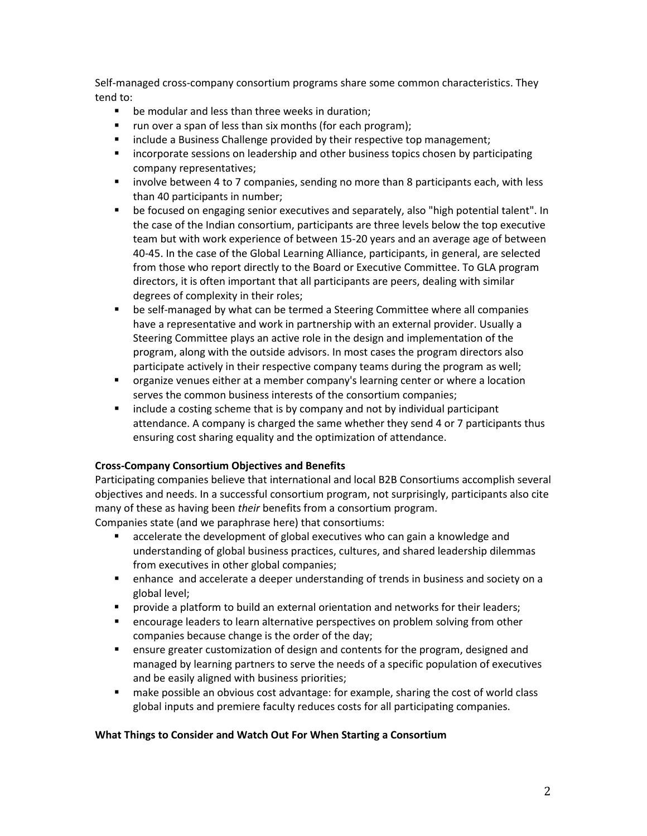Self-managed cross-company consortium programs share some common characteristics. They tend to:

- **•** be modular and less than three weeks in duration;
- run over a span of less than six months (for each program);
- **EXEDENT** include a Business Challenge provided by their respective top management;
- incorporate sessions on leadership and other business topics chosen by participating company representatives;
- **•** involve between 4 to 7 companies, sending no more than 8 participants each, with less than 40 participants in number;
- be focused on engaging senior executives and separately, also "high potential talent". In the case of the Indian consortium, participants are three levels below the top executive team but with work experience of between 15-20 years and an average age of between 40-45. In the case of the Global Learning Alliance, participants, in general, are selected from those who report directly to the Board or Executive Committee. To GLA program directors, it is often important that all participants are peers, dealing with similar degrees of complexity in their roles;
- be self-managed by what can be termed a Steering Committee where all companies have a representative and work in partnership with an external provider. Usually a Steering Committee plays an active role in the design and implementation of the program, along with the outside advisors. In most cases the program directors also participate actively in their respective company teams during the program as well;
- organize venues either at a member company's learning center or where a location serves the common business interests of the consortium companies;
- include a costing scheme that is by company and not by individual participant attendance. A company is charged the same whether they send 4 or 7 participants thus ensuring cost sharing equality and the optimization of attendance.

## **Cross-Company Consortium Objectives and Benefits**

Participating companies believe that international and local B2B Consortiums accomplish several objectives and needs. In a successful consortium program, not surprisingly, participants also cite many of these as having been *their* benefits from a consortium program.

Companies state (and we paraphrase here) that consortiums:

- accelerate the development of global executives who can gain a knowledge and understanding of global business practices, cultures, and shared leadership dilemmas from executives in other global companies;
- enhance and accelerate a deeper understanding of trends in business and society on a global level;
- provide a platform to build an external orientation and networks for their leaders;
- **EXED** encourage leaders to learn alternative perspectives on problem solving from other companies because change is the order of the day;
- **EXT** ensure greater customization of design and contents for the program, designed and managed by learning partners to serve the needs of a specific population of executives and be easily aligned with business priorities;
- make possible an obvious cost advantage: for example, sharing the cost of world class global inputs and premiere faculty reduces costs for all participating companies.

## **What Things to Consider and Watch Out For When Starting a Consortium**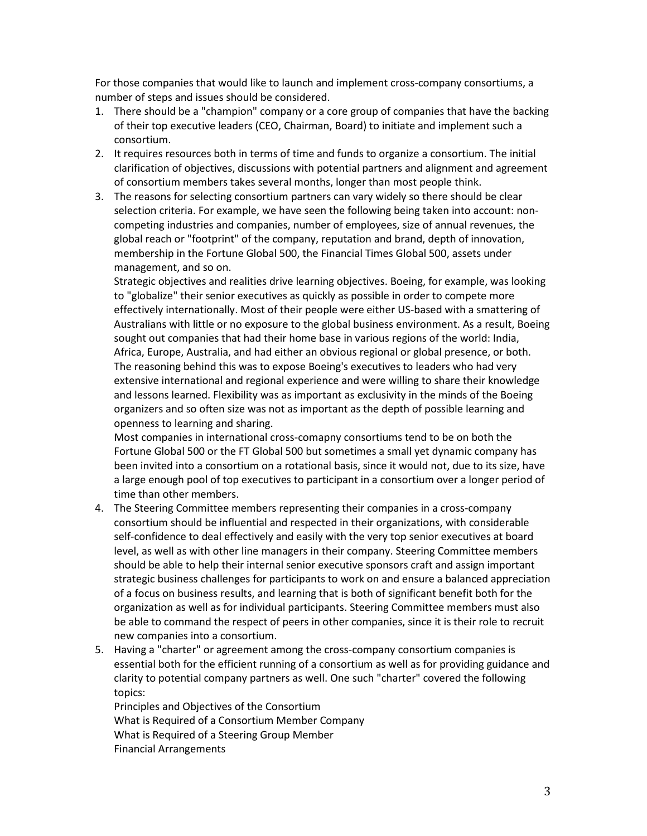For those companies that would like to launch and implement cross-company consortiums, a number of steps and issues should be considered.

- 1. There should be a "champion" company or a core group of companies that have the backing of their top executive leaders (CEO, Chairman, Board) to initiate and implement such a consortium.
- 2. It requires resources both in terms of time and funds to organize a consortium. The initial clarification of objectives, discussions with potential partners and alignment and agreement of consortium members takes several months, longer than most people think.
- 3. The reasons for selecting consortium partners can vary widely so there should be clear selection criteria. For example, we have seen the following being taken into account: noncompeting industries and companies, number of employees, size of annual revenues, the global reach or "footprint" of the company, reputation and brand, depth of innovation, membership in the Fortune Global 500, the Financial Times Global 500, assets under management, and so on.

Strategic objectives and realities drive learning objectives. Boeing, for example, was looking to "globalize" their senior executives as quickly as possible in order to compete more effectively internationally. Most of their people were either US-based with a smattering of Australians with little or no exposure to the global business environment. As a result, Boeing sought out companies that had their home base in various regions of the world: India, Africa, Europe, Australia, and had either an obvious regional or global presence, or both. The reasoning behind this was to expose Boeing's executives to leaders who had very extensive international and regional experience and were willing to share their knowledge and lessons learned. Flexibility was as important as exclusivity in the minds of the Boeing organizers and so often size was not as important as the depth of possible learning and openness to learning and sharing.

Most companies in international cross-comapny consortiums tend to be on both the Fortune Global 500 or the FT Global 500 but sometimes a small yet dynamic company has been invited into a consortium on a rotational basis, since it would not, due to its size, have a large enough pool of top executives to participant in a consortium over a longer period of time than other members.

- 4. The Steering Committee members representing their companies in a cross-company consortium should be influential and respected in their organizations, with considerable self-confidence to deal effectively and easily with the very top senior executives at board level, as well as with other line managers in their company. Steering Committee members should be able to help their internal senior executive sponsors craft and assign important strategic business challenges for participants to work on and ensure a balanced appreciation of a focus on business results, and learning that is both of significant benefit both for the organization as well as for individual participants. Steering Committee members must also be able to command the respect of peers in other companies, since it is their role to recruit new companies into a consortium.
- 5. Having a "charter" or agreement among the cross-company consortium companies is essential both for the efficient running of a consortium as well as for providing guidance and clarity to potential company partners as well. One such "charter" covered the following topics:

Principles and Objectives of the Consortium What is Required of a Consortium Member Company What is Required of a Steering Group Member Financial Arrangements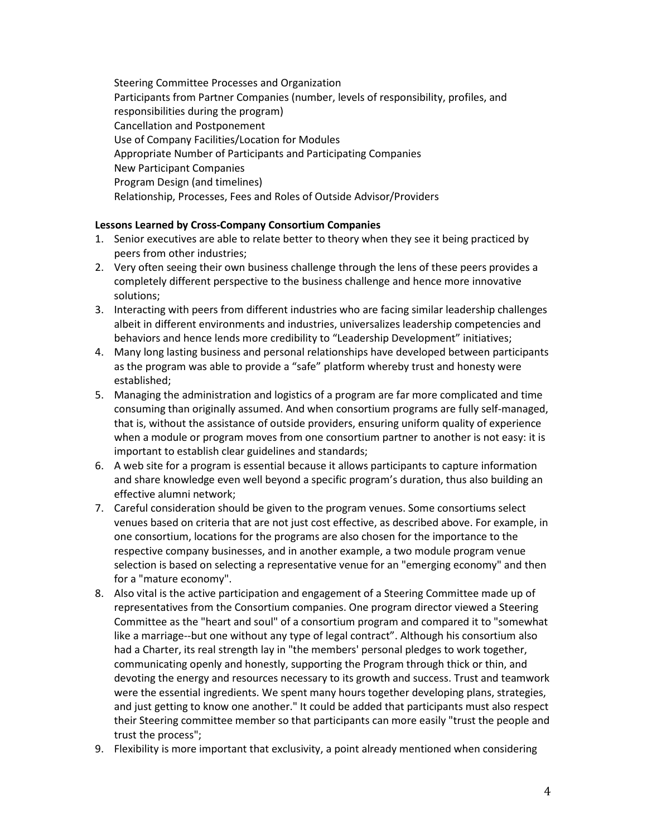Steering Committee Processes and Organization Participants from Partner Companies (number, levels of responsibility, profiles, and responsibilities during the program) Cancellation and Postponement Use of Company Facilities/Location for Modules Appropriate Number of Participants and Participating Companies New Participant Companies Program Design (and timelines) Relationship, Processes, Fees and Roles of Outside Advisor/Providers

## **Lessons Learned by Cross-Company Consortium Companies**

- 1. Senior executives are able to relate better to theory when they see it being practiced by peers from other industries;
- 2. Very often seeing their own business challenge through the lens of these peers provides a completely different perspective to the business challenge and hence more innovative solutions;
- 3. Interacting with peers from different industries who are facing similar leadership challenges albeit in different environments and industries, universalizes leadership competencies and behaviors and hence lends more credibility to "Leadership Development" initiatives;
- 4. Many long lasting business and personal relationships have developed between participants as the program was able to provide a "safe" platform whereby trust and honesty were established;
- 5. Managing the administration and logistics of a program are far more complicated and time consuming than originally assumed. And when consortium programs are fully self-managed, that is, without the assistance of outside providers, ensuring uniform quality of experience when a module or program moves from one consortium partner to another is not easy: it is important to establish clear guidelines and standards;
- 6. A web site for a program is essential because it allows participants to capture information and share knowledge even well beyond a specific program's duration, thus also building an effective alumni network;
- 7. Careful consideration should be given to the program venues. Some consortiums select venues based on criteria that are not just cost effective, as described above. For example, in one consortium, locations for the programs are also chosen for the importance to the respective company businesses, and in another example, a two module program venue selection is based on selecting a representative venue for an "emerging economy" and then for a "mature economy".
- 8. Also vital is the active participation and engagement of a Steering Committee made up of representatives from the Consortium companies. One program director viewed a Steering Committee as the "heart and soul" of a consortium program and compared it to "somewhat like a marriage--but one without any type of legal contract". Although his consortium also had a Charter, its real strength lay in "the members' personal pledges to work together, communicating openly and honestly, supporting the Program through thick or thin, and devoting the energy and resources necessary to its growth and success. Trust and teamwork were the essential ingredients. We spent many hours together developing plans, strategies, and just getting to know one another." It could be added that participants must also respect their Steering committee member so that participants can more easily "trust the people and trust the process";
- 9. Flexibility is more important that exclusivity, a point already mentioned when considering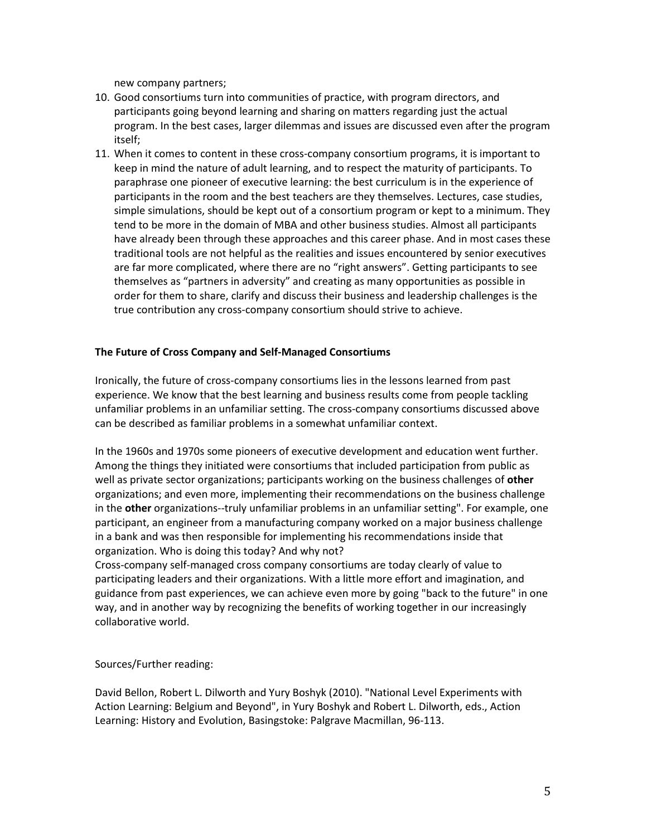new company partners;

- 10. Good consortiums turn into communities of practice, with program directors, and participants going beyond learning and sharing on matters regarding just the actual program. In the best cases, larger dilemmas and issues are discussed even after the program itself;
- 11. When it comes to content in these cross-company consortium programs, it is important to keep in mind the nature of adult learning, and to respect the maturity of participants. To paraphrase one pioneer of executive learning: the best curriculum is in the experience of participants in the room and the best teachers are they themselves. Lectures, case studies, simple simulations, should be kept out of a consortium program or kept to a minimum. They tend to be more in the domain of MBA and other business studies. Almost all participants have already been through these approaches and this career phase. And in most cases these traditional tools are not helpful as the realities and issues encountered by senior executives are far more complicated, where there are no "right answers". Getting participants to see themselves as "partners in adversity" and creating as many opportunities as possible in order for them to share, clarify and discuss their business and leadership challenges is the true contribution any cross-company consortium should strive to achieve.

## **The Future of Cross Company and Self-Managed Consortiums**

Ironically, the future of cross-company consortiums lies in the lessons learned from past experience. We know that the best learning and business results come from people tackling unfamiliar problems in an unfamiliar setting. The cross-company consortiums discussed above can be described as familiar problems in a somewhat unfamiliar context.

In the 1960s and 1970s some pioneers of executive development and education went further. Among the things they initiated were consortiums that included participation from public as well as private sector organizations; participants working on the business challenges of **other** organizations; and even more, implementing their recommendations on the business challenge in the **other** organizations--truly unfamiliar problems in an unfamiliar setting". For example, one participant, an engineer from a manufacturing company worked on a major business challenge in a bank and was then responsible for implementing his recommendations inside that organization. Who is doing this today? And why not?

Cross-company self-managed cross company consortiums are today clearly of value to participating leaders and their organizations. With a little more effort and imagination, and guidance from past experiences, we can achieve even more by going "back to the future" in one way, and in another way by recognizing the benefits of working together in our increasingly collaborative world.

Sources/Further reading:

David Bellon, Robert L. Dilworth and Yury Boshyk (2010). "National Level Experiments with Action Learning: Belgium and Beyond", in Yury Boshyk and Robert L. Dilworth, eds., Action Learning: History and Evolution, Basingstoke: Palgrave Macmillan, 96-113.